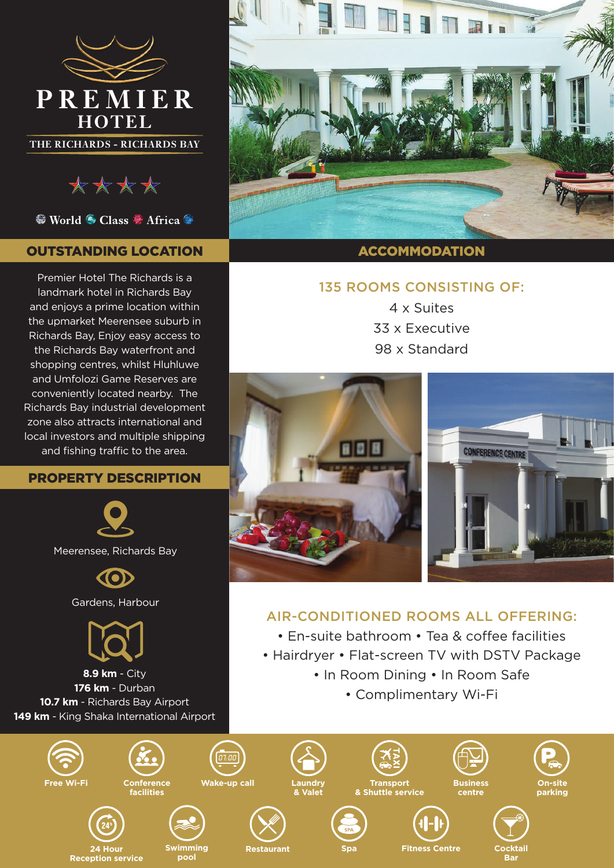

**THE RICHARDS - RICHARDS BAY**



<sup>●</sup> World ● Class ● Africa ●

# OUTSTANDING LOCATION

Premier Hotel The Richards is a landmark hotel in Richards Bay and enjoys a prime location within the upmarket Meerensee suburb in Richards Bay, Enjoy easy access to the Richards Bay waterfront and shopping centres, whilst Hluhluwe and Umfolozi Game Reserves are conveniently located nearby. The Richards Bay industrial development zone also attracts international and local investors and multiple shipping and fishing traffic to the area.

### PROPERTY DESCRIPTION





**8.9 km** - City **176 km** - Durban **10.7 km** - Richards Bay Airport 149 km - King Shaka International Airport



#### ACCOMMODATION

## 135 ROOMS CONSISTING OF:

4 x Suites 33 x Executive 98 x Standard



# AIR-CONDITIONED ROOMS ALL OFFERING:

- En-suite bathroom Tea & coffee facilities
- Hairdryer Flat-screen TV with DSTV Package
	- In Room Dining In Room Safe
		- Complimentary Wi-Fi

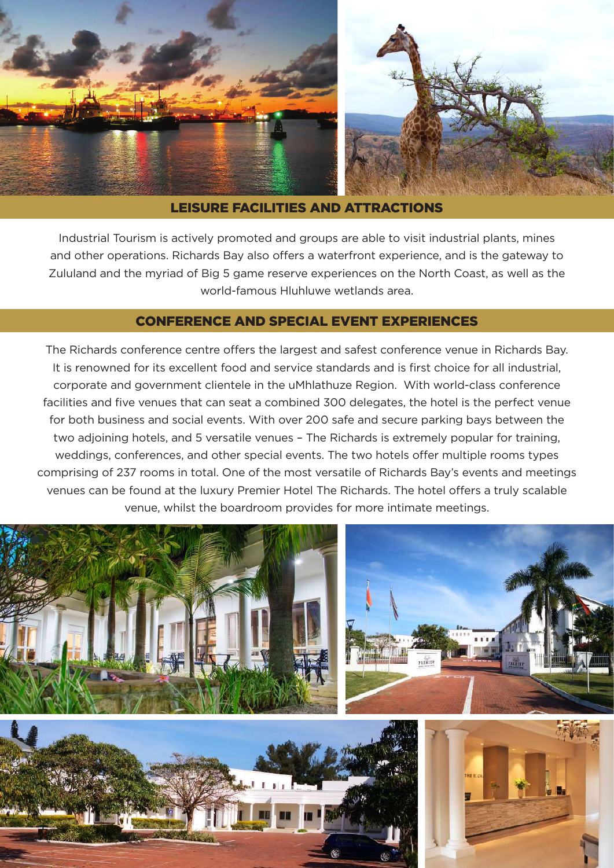

#### LEISURE FACILITIES AND ATTRACTIONS

Industrial Tourism is actively promoted and groups are able to visit industrial plants, mines and other operations. Richards Bay also offers a waterfront experience, and is the gateway to Zululand and the myriad of Big 5 game reserve experiences on the North Coast, as well as the world-famous Hluhluwe wetlands area.

## CONFERENCE AND SPECIAL EVENT EXPERIENCES

The Richards conference centre offers the largest and safest conference venue in Richards Bay. It is renowned for its excellent food and service standards and is first choice for all industrial, corporate and government clientele in the uMhlathuze Region. With world-class conference facilities and five venues that can seat a combined 300 delegates, the hotel is the perfect venue for both business and social events. With over 200 safe and secure parking bays between the two adjoining hotels, and 5 versatile venues – The Richards is extremely popular for training, weddings, conferences, and other special events. The two hotels offer multiple rooms types comprising of 237 rooms in total. One of the most versatile of Richards Bay's events and meetings venues can be found at the luxury Premier Hotel The Richards. The hotel offers a truly scalable venue, whilst the boardroom provides for more intimate meetings.